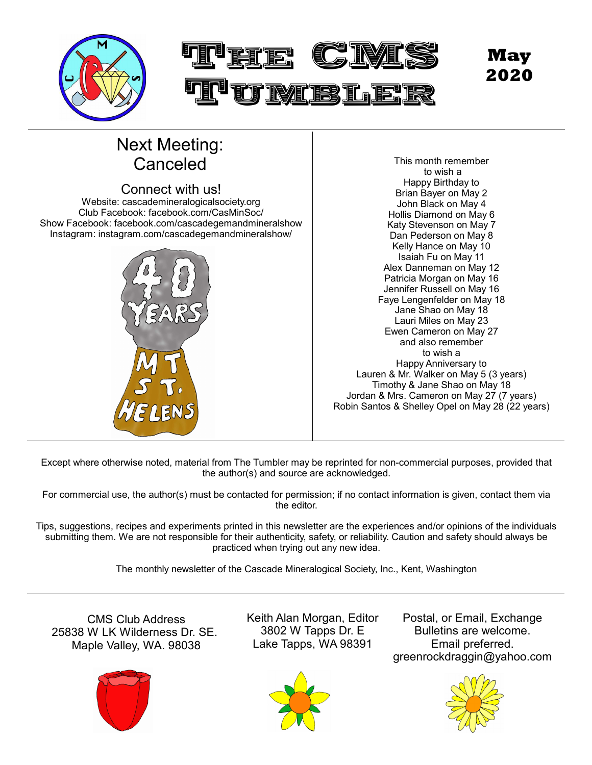

# Next Meeting:

#### Connect with us! Website: cascademineralogicalsociety.org Club Facebook: facebook.com/CasMinSoc/ Show Facebook: facebook.com/cascadegemandmineralshow



Canceled This month remember to wish a Happy Birthday to Brian Bayer on May 2 John Black on May 4 Hollis Diamond on May 6 Katy Stevenson on May 7 Dan Pederson on May 8 Kelly Hance on May 10 Isaiah Fu on May 11 Alex Danneman on May 12 Patricia Morgan on May 16 Jennifer Russell on May 16 Faye Lengenfelder on May 18 Jane Shao on May 18 Lauri Miles on May 23 Ewen Cameron on May 27 and also remember to wish a Happy Anniversary to Lauren & Mr. Walker on May 5 (3 years) Timothy & Jane Shao on May 18 Jordan & Mrs. Cameron on May 27 (7 years) Robin Santos & Shelley Opel on May 28 (22 years)

Except where otherwise noted, material from The Tumbler may be reprinted for non-commercial purposes, provided that the author(s) and source are acknowledged.

For commercial use, the author(s) must be contacted for permission; if no contact information is given, contact them via the editor.

Tips, suggestions, recipes and experiments printed in this newsletter are the experiences and/or opinions of the individuals submitting them. We are not responsible for their authenticity, safety, or reliability. Caution and safety should always be practiced when trying out any new idea.

The monthly newsletter of the Cascade Mineralogical Society, Inc., Kent, Washington

CMS Club Address 25838 W LK Wilderness Dr. SE. Maple Valley, WA. 98038



Keith Alan Morgan, Editor 3802 W Tapps Dr. E Lake Tapps, WA 98391

Postal, or Email, Exchange Bulletins are welcome. Email preferred. greenrockdraggin@yahoo.com



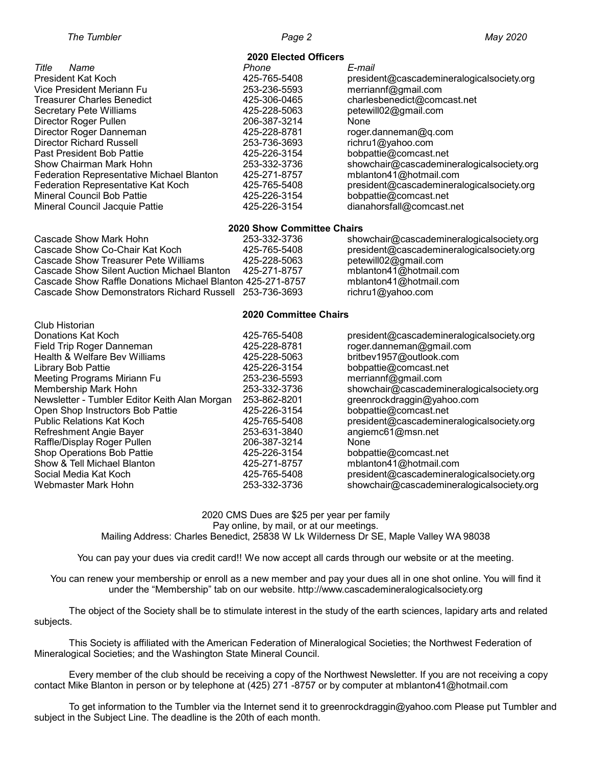| <b>2020 Elected Officers</b>                     |              |                                           |  |  |  |  |  |
|--------------------------------------------------|--------------|-------------------------------------------|--|--|--|--|--|
| Title<br>Name                                    | Phone        | E-mail                                    |  |  |  |  |  |
| President Kat Koch                               | 425-765-5408 | president@cascademineralogicalsociety.org |  |  |  |  |  |
| Vice President Meriann Fu                        | 253-236-5593 | merriannf@gmail.com                       |  |  |  |  |  |
| <b>Treasurer Charles Benedict</b>                | 425-306-0465 | charlesbenedict@comcast.net               |  |  |  |  |  |
| <b>Secretary Pete Williams</b>                   | 425-228-5063 | petewill02@gmail.com                      |  |  |  |  |  |
| Director Roger Pullen                            | 206-387-3214 | None                                      |  |  |  |  |  |
| Director Roger Danneman                          | 425-228-8781 | roger.danneman@q.com                      |  |  |  |  |  |
| <b>Director Richard Russell</b>                  | 253-736-3693 | richru1@yahoo.com                         |  |  |  |  |  |
| Past President Bob Pattie                        | 425-226-3154 | bobpattie@comcast.net                     |  |  |  |  |  |
| Show Chairman Mark Hohn                          | 253-332-3736 | showchair@cascademineralogicalsociety.org |  |  |  |  |  |
| <b>Federation Representative Michael Blanton</b> | 425-271-8757 | mblanton41@hotmail.com                    |  |  |  |  |  |
| Federation Representative Kat Koch               | 425-765-5408 | president@cascademineralogicalsociety.org |  |  |  |  |  |
| Mineral Council Bob Pattie                       | 425-226-3154 | bobpattie@comcast.net                     |  |  |  |  |  |
| Mineral Council Jacquie Pattie                   | 425-226-3154 | dianahorsfall@comcast.net                 |  |  |  |  |  |

#### **2020 Show Committee Chairs**

| Cascade Show Mark Hohn                                     | 253-332-3736 | showchair@cascademineralogicalsociety.org |
|------------------------------------------------------------|--------------|-------------------------------------------|
| Cascade Show Co-Chair Kat Koch                             | 425-765-5408 | president@cascademineralogicalsociety.org |
| Cascade Show Treasurer Pete Williams                       | 425-228-5063 | petewill02@gmail.com                      |
| Cascade Show Silent Auction Michael Blanton                | 425-271-8757 | mblanton41@hotmail.com                    |
| Cascade Show Raffle Donations Michael Blanton 425-271-8757 |              | mblanton41@hotmail.com                    |
| Cascade Show Demonstrators Richard Russell 253-736-3693    |              | richru1@yahoo.com                         |

#### **2020 Committee Chairs**

| Club Historian                                |              |                                           |
|-----------------------------------------------|--------------|-------------------------------------------|
| Donations Kat Koch                            | 425-765-5408 | president@cascademineralogicalsociety.org |
| Field Trip Roger Danneman                     | 425-228-8781 | roger.danneman@gmail.com                  |
| Health & Welfare Bev Williams                 | 425-228-5063 | britbev1957@outlook.com                   |
| Library Bob Pattie                            | 425-226-3154 | bobpattie@comcast.net                     |
| Meeting Programs Miriann Fu                   | 253-236-5593 | merriannf@gmail.com                       |
| Membership Mark Hohn                          | 253-332-3736 | showchair@cascademineralogicalsociety.org |
| Newsletter - Tumbler Editor Keith Alan Morgan | 253-862-8201 | greenrockdraggin@yahoo.com                |
| Open Shop Instructors Bob Pattie              | 425-226-3154 | bobpattie@comcast.net                     |
| <b>Public Relations Kat Koch</b>              | 425-765-5408 | president@cascademineralogicalsociety.org |
| Refreshment Angie Bayer                       | 253-631-3840 | angiemc61@msn.net                         |
| Raffle/Display Roger Pullen                   | 206-387-3214 | None                                      |
| Shop Operations Bob Pattie                    | 425-226-3154 | bobpattie@comcast.net                     |
| Show & Tell Michael Blanton                   | 425-271-8757 | mblanton41@hotmail.com                    |
| Social Media Kat Koch                         | 425-765-5408 | president@cascademineralogicalsociety.org |
| Webmaster Mark Hohn                           | 253-332-3736 | showchair@cascademineralogicalsociety.org |

#### 2020 CMS Dues are \$25 per year per family Pay online, by mail, or at our meetings.

Mailing Address: Charles Benedict, 25838 W Lk Wilderness Dr SE, Maple Valley WA 98038

You can pay your dues via credit card!! We now accept all cards through our website or at the meeting.

You can renew your membership or enroll as a new member and pay your dues all in one shot online. You will find it under the "Membership" tab on our website. http://www.cascademineralogicalsociety.org

The object of the Society shall be to stimulate interest in the study of the earth sciences, lapidary arts and related subjects.

This Society is affiliated with the American Federation of Mineralogical Societies; the Northwest Federation of Mineralogical Societies; and the Washington State Mineral Council.

Every member of the club should be receiving a copy of the Northwest Newsletter. If you are not receiving a copy contact Mike Blanton in person or by telephone at (425) 271 -8757 or by computer at mblanton41@hotmail.com

To get information to the Tumbler via the Internet send it to greenrockdraggin@yahoo.com Please put Tumbler and subject in the Subject Line. The deadline is the 20th of each month.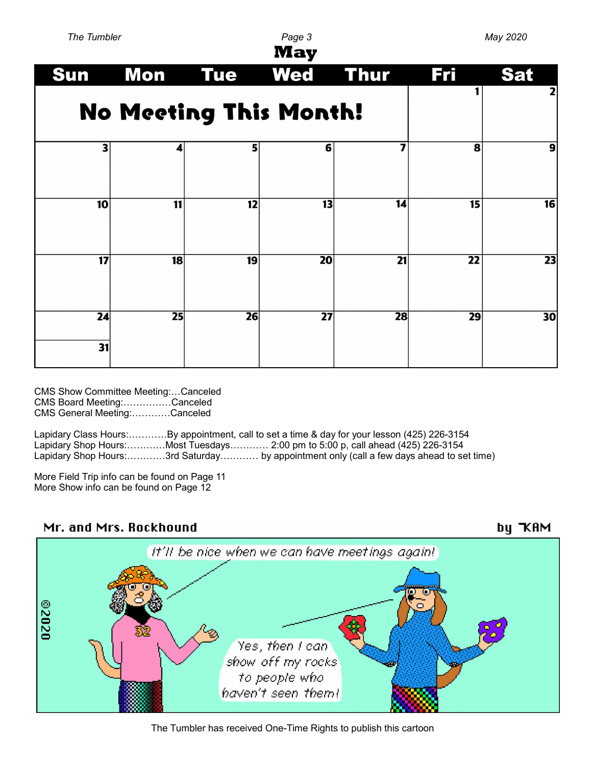| The Tumbler<br>Page 3<br><b>May</b> |    |                 | May 2020        |                 |                 |                 |
|-------------------------------------|----|-----------------|-----------------|-----------------|-----------------|-----------------|
| <b>Sun</b>                          |    | <b>Mon</b> Tue  | <b>Wed Thur</b> |                 | <b>Fri</b>      | <b>Sat</b>      |
| <b>No Meeting This Month!</b>       |    |                 |                 |                 | 2               |                 |
| 3                                   | 4  | 5               | 6               | 7               | 8               | 9               |
| 10                                  | 11 | 12              | 13              | $\overline{14}$ | 15              | $\overline{16}$ |
| 17                                  | 18 | 19              | 20              | 21              | $\overline{22}$ | 23              |
| 24<br>31                            | 25 | $\overline{26}$ | $\overline{27}$ | 28              | 29              | 30              |

CMS Show Committee Meeting:…Canceled CMS Board Meeting:……………Canceled CMS General Meeting:…………Canceled

Lapidary Class Hours:…………By appointment, call to set a time & day for your lesson (425) 226-3154 Lapidary Shop Hours:…………Most Tuesdays………… 2:00 pm to 5:00 p, call ahead (425) 226-3154 Lapidary Shop Hours:…………3rd Saturday………… by appointment only (call a few days ahead to set time)

More Field Trip info can be found on Page 11 More Show info can be found on Page 12



The Tumbler has received One-Time Rights to publish this cartoon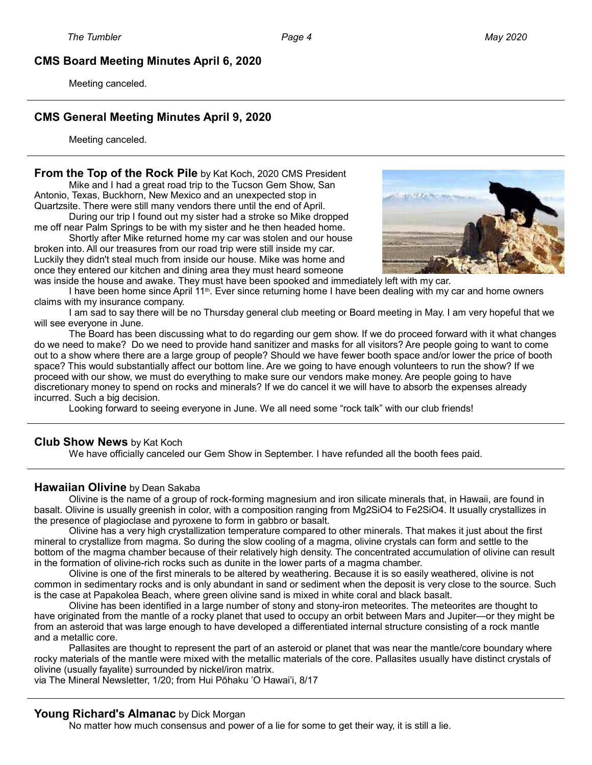#### **CMS Board Meeting Minutes April 6, 2020**

Meeting canceled.

#### **CMS General Meeting Minutes April 9, 2020**

Meeting canceled.

#### **From the Top of the Rock Pile** by Kat Koch, 2020 CMS President

Mike and I had a great road trip to the Tucson Gem Show, San Antonio, Texas, Buckhorn, New Mexico and an unexpected stop in Quartzsite. There were still many vendors there until the end of April.

During our trip I found out my sister had a stroke so Mike dropped me off near Palm Springs to be with my sister and he then headed home.

Shortly after Mike returned home my car was stolen and our house broken into. All our treasures from our road trip were still inside my car. Luckily they didn't steal much from inside our house. Mike was home and once they entered our kitchen and dining area they must heard someone



was inside the house and awake. They must have been spooked and immediately left with my car.

I have been home since April 11<sup>th</sup>. Ever since returning home I have been dealing with my car and home owners claims with my insurance company.

I am sad to say there will be no Thursday general club meeting or Board meeting in May. I am very hopeful that we will see everyone in June.

The Board has been discussing what to do regarding our gem show. If we do proceed forward with it what changes do we need to make? Do we need to provide hand sanitizer and masks for all visitors? Are people going to want to come out to a show where there are a large group of people? Should we have fewer booth space and/or lower the price of booth space? This would substantially affect our bottom line. Are we going to have enough volunteers to run the show? If we proceed with our show, we must do everything to make sure our vendors make money. Are people going to have discretionary money to spend on rocks and minerals? If we do cancel it we will have to absorb the expenses already incurred. Such a big decision.

Looking forward to seeing everyone in June. We all need some "rock talk" with our club friends!

#### **Club Show News** by Kat Koch

We have officially canceled our Gem Show in September. I have refunded all the booth fees paid.

#### **Hawaiian Olivine** by Dean Sakaba

Olivine is the name of a group of rock-forming magnesium and iron silicate minerals that, in Hawaii, are found in basalt. Olivine is usually greenish in color, with a composition ranging from Mg2SiO4 to Fe2SiO4. It usually crystallizes in the presence of plagioclase and pyroxene to form in gabbro or basalt.

Olivine has a very high crystallization temperature compared to other minerals. That makes it just about the first mineral to crystallize from magma. So during the slow cooling of a magma, olivine crystals can form and settle to the bottom of the magma chamber because of their relatively high density. The concentrated accumulation of olivine can result in the formation of olivine-rich rocks such as dunite in the lower parts of a magma chamber.

Olivine is one of the first minerals to be altered by weathering. Because it is so easily weathered, olivine is not common in sedimentary rocks and is only abundant in sand or sediment when the deposit is very close to the source. Such is the case at Papakolea Beach, where green olivine sand is mixed in white coral and black basalt.

Olivine has been identified in a large number of stony and stony-iron meteorites. The meteorites are thought to have originated from the mantle of a rocky planet that used to occupy an orbit between Mars and Jupiter—or they might be from an asteroid that was large enough to have developed a differentiated internal structure consisting of a rock mantle and a metallic core.

Pallasites are thought to represent the part of an asteroid or planet that was near the mantle/core boundary where rocky materials of the mantle were mixed with the metallic materials of the core. Pallasites usually have distinct crystals of olivine (usually fayalite) surrounded by nickel/iron matrix.

via The Mineral Newsletter, 1/20; from Hui Pōhaku 'O Hawai'i, 8/17

#### **Young Richard's Almanac** by Dick Morgan

No matter how much consensus and power of a lie for some to get their way, it is still a lie.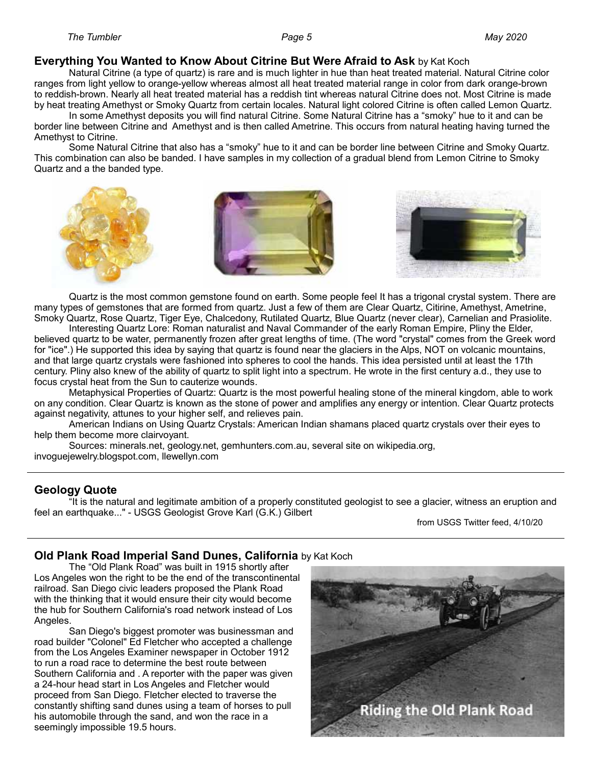#### **Everything You Wanted to Know About Citrine But Were Afraid to Ask** by Kat Koch

Natural Citrine (a type of quartz) is rare and is much lighter in hue than heat treated material. Natural Citrine color ranges from light yellow to orange-yellow whereas almost all heat treated material range in color from dark orange-brown to reddish-brown. Nearly all heat treated material has a reddish tint whereas natural Citrine does not. Most Citrine is made by heat treating Amethyst or Smoky Quartz from certain locales. Natural light colored Citrine is often called Lemon Quartz.

In some Amethyst deposits you will find natural Citrine. Some Natural Citrine has a "smoky" hue to it and can be border line between Citrine and Amethyst and is then called Ametrine. This occurs from natural heating having turned the Amethyst to Citrine.

Some Natural Citrine that also has a "smoky" hue to it and can be border line between Citrine and Smoky Quartz. This combination can also be banded. I have samples in my collection of a gradual blend from Lemon Citrine to Smoky Quartz and a the banded type.



Quartz is the most common gemstone found on earth. Some people feel It has a trigonal crystal system. There are many types of gemstones that are formed from quartz. Just a few of them are Clear Quartz, Citirine, Amethyst, Ametrine, Smoky Quartz, Rose Quartz, Tiger Eye, Chalcedony, Rutilated Quartz, Blue Quartz (never clear), Carnelian and Prasiolite.

Interesting Quartz Lore: Roman naturalist and Naval Commander of the early Roman Empire, Pliny the Elder, believed quartz to be water, permanently frozen after great lengths of time. (The word "crystal" comes from the Greek word for "ice".) He supported this idea by saying that quartz is found near the glaciers in the Alps, NOT on volcanic mountains, and that large quartz crystals were fashioned into spheres to cool the hands. This idea persisted until at least the 17th century. Pliny also knew of the ability of quartz to split light into a spectrum. He wrote in the first century a.d., they use to focus crystal heat from the Sun to cauterize wounds.

Metaphysical Properties of Quartz: Quartz is the most powerful healing stone of the mineral kingdom, able to work on any condition. Clear Quartz is known as the stone of power and amplifies any energy or intention. Clear Quartz protects against negativity, attunes to your higher self, and relieves pain.

American Indians on Using Quartz Crystals: American Indian shamans placed quartz crystals over their eyes to help them become more clairvoyant.

Sources: minerals.net, geology.net, gemhunters.com.au, several site on wikipedia.org, invoguejewelry.blogspot.com, llewellyn.com

#### **Geology Quote**

"It is the natural and legitimate ambition of a properly constituted geologist to see a glacier, witness an eruption and feel an earthquake..." - USGS Geologist Grove Karl (G.K.) Gilbert

from USGS Twitter feed, 4/10/20

#### **Old Plank Road Imperial Sand Dunes, California** by Kat Koch

The "Old Plank Road" was built in 1915 shortly after Los Angeles won the right to be the end of the transcontinental railroad. San Diego civic leaders proposed the Plank Road with the thinking that it would ensure their city would become the hub for Southern California's road network instead of Los Angeles.

San Diego's biggest promoter was businessman and road builder "Colonel" Ed Fletcher who accepted a challenge from the Los Angeles Examiner newspaper in October 1912 to run a road race to determine the best route between Southern California and . A reporter with the paper was given a 24-hour head start in Los Angeles and Fletcher would proceed from San Diego. Fletcher elected to traverse the constantly shifting sand dunes using a team of horses to pull his automobile through the sand, and won the race in a seemingly impossible 19.5 hours.

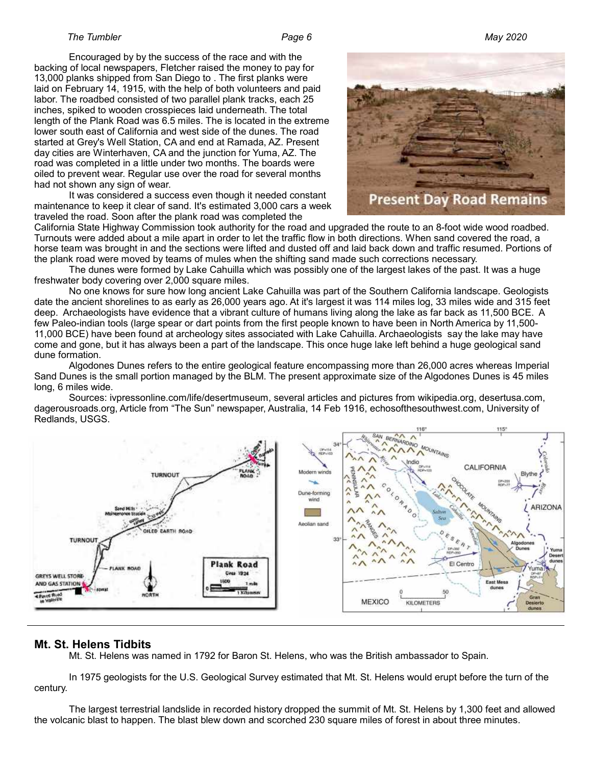#### *The Tumbler Page 6 May 2020*

Encouraged by by the success of the race and with the backing of local newspapers, Fletcher raised the money to pay for 13,000 planks shipped from San Diego to . The first planks were laid on February 14, 1915, with the help of both volunteers and paid labor. The roadbed consisted of two parallel plank tracks, each 25 inches, spiked to wooden crosspieces laid underneath. The total length of the Plank Road was 6.5 miles. The is located in the extreme lower south east of California and west side of the dunes. The road started at Grey's Well Station, CA and end at Ramada, AZ. Present day cities are Winterhaven, CA and the junction for Yuma, AZ. The road was completed in a little under two months. The boards were oiled to prevent wear. Regular use over the road for several months had not shown any sign of wear.

It was considered a success even though it needed constant maintenance to keep it clear of sand. It's estimated 3,000 cars a week traveled the road. Soon after the plank road was completed the



California State Highway Commission took authority for the road and upgraded the route to an 8-foot wide wood roadbed. Turnouts were added about a mile apart in order to let the traffic flow in both directions. When sand covered the road, a horse team was brought in and the sections were lifted and dusted off and laid back down and traffic resumed. Portions of the plank road were moved by teams of mules when the shifting sand made such corrections necessary.

The dunes were formed by Lake Cahuilla which was possibly one of the largest lakes of the past. It was a huge freshwater body covering over 2,000 square miles.

No one knows for sure how long ancient Lake Cahuilla was part of the Southern California landscape. Geologists date the ancient shorelines to as early as 26,000 years ago. At it's largest it was 114 miles log, 33 miles wide and 315 feet deep. Archaeologists have evidence that a vibrant culture of humans living along the lake as far back as 11,500 BCE. A few Paleo-indian tools (large spear or dart points from the first people known to have been in North America by 11,500- 11,000 BCE) have been found at archeology sites associated with Lake Cahuilla. Archaeologists say the lake may have come and gone, but it has always been a part of the landscape. This once huge lake left behind a huge geological sand dune formation.

Algodones Dunes refers to the entire geological feature encompassing more than 26,000 acres whereas Imperial Sand Dunes is the small portion managed by the BLM. The present approximate size of the Algodones Dunes is 45 miles long, 6 miles wide.

Sources: ivpressonline.com/life/desertmuseum, several articles and pictures from wikipedia.org, desertusa.com, dagerousroads.org, Article from "The Sun" newspaper, Australia, 14 Feb 1916, echosofthesouthwest.com, University of Redlands, USGS.



#### **Mt. St. Helens Tidbits**

Mt. St. Helens was named in 1792 for Baron St. Helens, who was the British ambassador to Spain.

In 1975 geologists for the U.S. Geological Survey estimated that Mt. St. Helens would erupt before the turn of the century.

The largest terrestrial landslide in recorded history dropped the summit of Mt. St. Helens by 1,300 feet and allowed the volcanic blast to happen. The blast blew down and scorched 230 square miles of forest in about three minutes.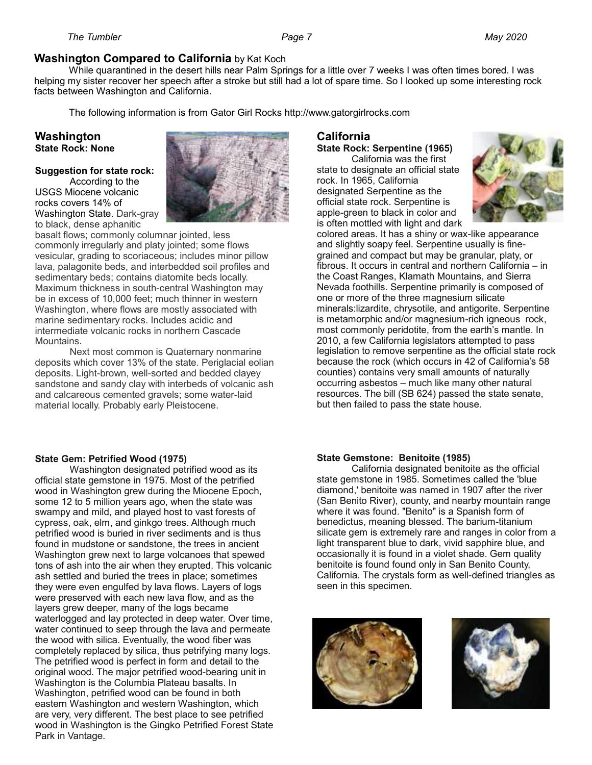## **Washington Compared to California** by Kat Koch

While quarantined in the desert hills near Palm Springs for a little over 7 weeks I was often times bored. I was helping my sister recover her speech after a stroke but still had a lot of spare time. So I looked up some interesting rock facts between Washington and California.

The following information is from Gator Girl Rocks http://www.gatorgirlrocks.com

#### **Washington State Rock: None**

#### **Suggestion for state rock:**

According to the USGS Miocene volcanic rocks covers 14% of Washington State. Dark-gray to black, dense aphanitic



basalt flows; commonly columnar jointed, less commonly irregularly and platy jointed; some flows vesicular, grading to scoriaceous; includes minor pillow lava, palagonite beds, and interbedded soil profiles and sedimentary beds; contains diatomite beds locally. Maximum thickness in south-central Washington may be in excess of 10,000 feet; much thinner in western Washington, where flows are mostly associated with marine sedimentary rocks. Includes acidic and intermediate volcanic rocks in northern Cascade Mountains.

Next most common is Quaternary nonmarine deposits which cover 13% of the state. Periglacial eolian deposits. Light-brown, well-sorted and bedded clayey sandstone and sandy clay with interbeds of volcanic ash and calcareous cemented gravels; some water-laid material locally. Probably early Pleistocene.

## **California**

## **State Rock: Serpentine (1965)**

California was the first state to designate an official state rock. In 1965, California designated Serpentine as the official state rock. Serpentine is apple-green to black in color and is often mottled with light and dark



colored areas. It has a shiny or wax-like appearance and slightly soapy feel. Serpentine usually is finegrained and compact but may be granular, platy, or fibrous. It occurs in central and northern California – in the Coast Ranges, Klamath Mountains, and Sierra Nevada foothills. Serpentine primarily is composed of one or more of the three magnesium silicate minerals:lizardite, chrysotile, and antigorite. Serpentine is metamorphic and/or magnesium-rich igneous rock, most commonly peridotite, from the earth's mantle. In 2010, a few California legislators attempted to pass legislation to remove serpentine as the official state rock because the rock (which occurs in 42 of California's 58 counties) contains very small amounts of naturally occurring asbestos – much like many other natural resources. The bill (SB 624) passed the state senate, but then failed to pass the state house.

#### **State Gem: Petrified Wood (1975)**

Washington designated petrified wood as its official state gemstone in 1975. Most of the petrified wood in Washington grew during the Miocene Epoch, some 12 to 5 million years ago, when the state was swampy and mild, and played host to vast forests of cypress, oak, elm, and ginkgo trees. Although much petrified wood is buried in river sediments and is thus found in mudstone or sandstone, the trees in ancient Washington grew next to large volcanoes that spewed tons of ash into the air when they erupted. This volcanic ash settled and buried the trees in place; sometimes they were even engulfed by lava flows. Layers of logs were preserved with each new lava flow, and as the layers grew deeper, many of the logs became waterlogged and lay protected in deep water. Over time, water continued to seep through the lava and permeate the wood with silica. Eventually, the wood fiber was completely replaced by silica, thus petrifying many logs. The petrified wood is perfect in form and detail to the original wood. The major petrified wood-bearing unit in Washington is the Columbia Plateau basalts. In Washington, petrified wood can be found in both eastern Washington and western Washington, which are very, very different. The best place to see petrified wood in Washington is the Gingko Petrified Forest State Park in Vantage.

#### **State Gemstone: Benitoite (1985)**

California designated benitoite as the official state gemstone in 1985. Sometimes called the 'blue diamond,' benitoite was named in 1907 after the river (San Benito River), county, and nearby mountain range where it was found. "Benito" is a Spanish form of benedictus, meaning blessed. The barium-titanium silicate gem is extremely rare and ranges in color from a light transparent blue to dark, vivid sapphire blue, and occasionally it is found in a violet shade. Gem quality benitoite is found found only in San Benito County, California. The crystals form as well-defined triangles as seen in this specimen.



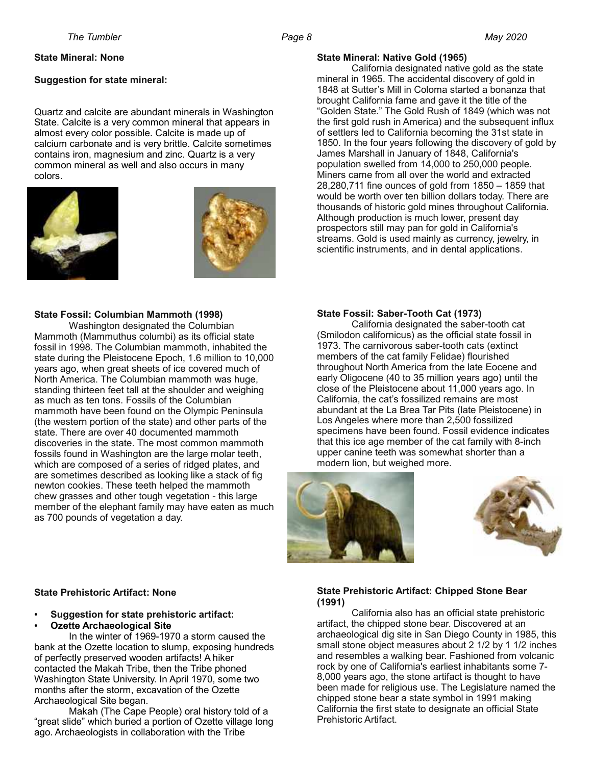#### **State Mineral: None**

#### **Suggestion for state mineral:**

Quartz and calcite are abundant minerals in Washington State. Calcite is a very common mineral that appears in almost every color possible. Calcite is made up of calcium carbonate and is very brittle. Calcite sometimes contains iron, magnesium and zinc. Quartz is a very common mineral as well and also occurs in many colors.





#### **State Fossil: Columbian Mammoth (1998)**

Washington designated the Columbian Mammoth (Mammuthus columbi) as its official state fossil in 1998. The Columbian mammoth, inhabited the state during the Pleistocene Epoch, 1.6 million to 10,000 years ago, when great sheets of ice covered much of North America. The Columbian mammoth was huge, standing thirteen feet tall at the shoulder and weighing as much as ten tons. Fossils of the Columbian mammoth have been found on the Olympic Peninsula (the western portion of the state) and other parts of the state. There are over 40 documented mammoth discoveries in the state. The most common mammoth fossils found in Washington are the large molar teeth, which are composed of a series of ridged plates, and are sometimes described as looking like a stack of fig newton cookies. These teeth helped the mammoth chew grasses and other tough vegetation - this large member of the elephant family may have eaten as much as 700 pounds of vegetation a day.

#### **State Fossil: Saber-Tooth Cat (1973)**

California designated the saber-tooth cat (Smilodon californicus) as the official state fossil in 1973. The carnivorous saber-tooth cats (extinct members of the cat family Felidae) flourished throughout North America from the late Eocene and early Oligocene (40 to 35 million years ago) until the close of the Pleistocene about 11,000 years ago. In California, the cat's fossilized remains are most abundant at the La Brea Tar Pits (late Pleistocene) in Los Angeles where more than 2,500 fossilized specimens have been found. Fossil evidence indicates that this ice age member of the cat family with 8-inch upper canine teeth was somewhat shorter than a modern lion, but weighed more.





#### **State Prehistoric Artifact: None**

- **Suggestion for state prehistoric artifact:**
- **Ozette Archaeological Site**

In the winter of 1969-1970 a storm caused the bank at the Ozette location to slump, exposing hundreds of perfectly preserved wooden artifacts! A hiker contacted the Makah Tribe, then the Tribe phoned Washington State University. In April 1970, some two months after the storm, excavation of the Ozette Archaeological Site began.

Makah (The Cape People) oral history told of a "great slide" which buried a portion of Ozette village long ago. Archaeologists in collaboration with the Tribe

#### **State Prehistoric Artifact: Chipped Stone Bear (1991)**

California also has an official state prehistoric artifact, the chipped stone bear. Discovered at an archaeological dig site in San Diego County in 1985, this small stone object measures about 2 1/2 by 1 1/2 inches and resembles a walking bear. Fashioned from volcanic rock by one of California's earliest inhabitants some 7- 8,000 years ago, the stone artifact is thought to have been made for religious use. The Legislature named the chipped stone bear a state symbol in 1991 making California the first state to designate an official State Prehistoric Artifact.

#### **State Mineral: Native Gold (1965)**

California designated native gold as the state mineral in 1965. The accidental discovery of gold in 1848 at Sutter's Mill in Coloma started a bonanza that brought California fame and gave it the title of the "Golden State." The Gold Rush of 1849 (which was not the first gold rush in America) and the subsequent influx of settlers led to California becoming the 31st state in 1850. In the four years following the discovery of gold by James Marshall in January of 1848, California's population swelled from 14,000 to 250,000 people. Miners came from all over the world and extracted 28,280,711 fine ounces of gold from 1850 – 1859 that would be worth over ten billion dollars today. There are thousands of historic gold mines throughout California. Although production is much lower, present day prospectors still may pan for gold in California's streams. Gold is used mainly as currency, jewelry, in scientific instruments, and in dental applications.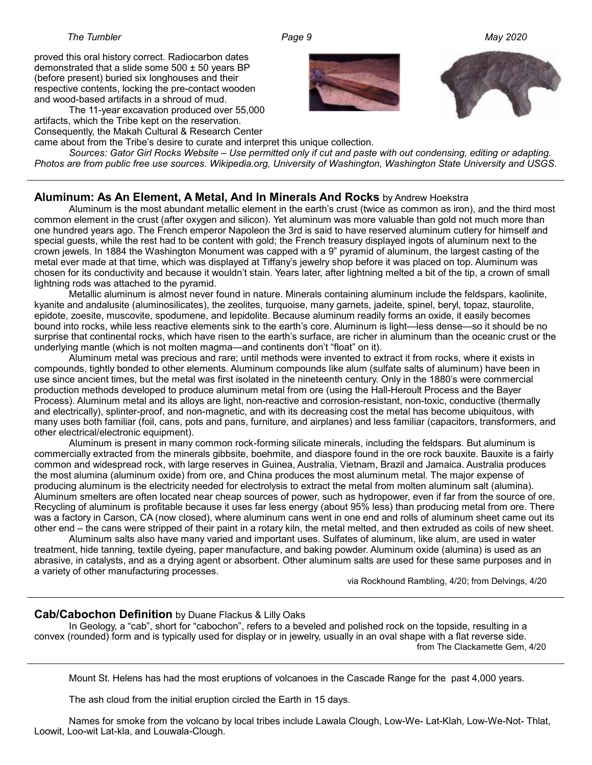#### *The Tumbler Page 9 May 2020*

proved this oral history correct. Radiocarbon dates demonstrated that a slide some  $500 \pm 50$  years BP (before present) buried six longhouses and their respective contents, locking the pre-contact wooden and wood-based artifacts in a shroud of mud.

The 11-year excavation produced over 55,000 artifacts, which the Tribe kept on the reservation. Consequently, the Makah Cultural & Research Center



came about from the Tribe's desire to curate and interpret this unique collection. *Sources: Gator Girl Rocks Website – Use permitted only if cut and paste with out condensing, editing or adapting. Photos are from public free use sources. Wikipedia.org, University of Washington, Washington State University and USGS.*

#### **Aluminum: As An Element, A Metal, And In Minerals And Rocks** by Andrew Hoekstra

Aluminum is the most abundant metallic element in the earth's crust (twice as common as iron), and the third most common element in the crust (after oxygen and silicon). Yet aluminum was more valuable than gold not much more than one hundred years ago. The French emperor Napoleon the 3rd is said to have reserved aluminum cutlery for himself and special guests, while the rest had to be content with gold; the French treasury displayed ingots of aluminum next to the crown jewels. In 1884 the Washington Monument was capped with a 9" pyramid of aluminum, the largest casting of the metal ever made at that time, which was displayed at Tiffany's jewelry shop before it was placed on top. Aluminum was chosen for its conductivity and because it wouldn't stain. Years later, after lightning melted a bit of the tip, a crown of small lightning rods was attached to the pyramid.

Metallic aluminum is almost never found in nature. Minerals containing aluminum include the feldspars, kaolinite, kyanite and andalusite (aluminosilicates), the zeolites, turquoise, many garnets, jadeite, spinel, beryl, topaz, staurolite, epidote, zoesite, muscovite, spodumene, and lepidolite. Because aluminum readily forms an oxide, it easily becomes bound into rocks, while less reactive elements sink to the earth's core. Aluminum is light—less dense—so it should be no surprise that continental rocks, which have risen to the earth's surface, are richer in aluminum than the oceanic crust or the underlying mantle (which is not molten magma—and continents don't "float" on it).

Aluminum metal was precious and rare; until methods were invented to extract it from rocks, where it exists in compounds, tightly bonded to other elements. Aluminum compounds like alum (sulfate salts of aluminum) have been in use since ancient times, but the metal was first isolated in the nineteenth century. Only in the 1880's were commercial production methods developed to produce aluminum metal from ore (using the Hall-Heroult Process and the Bayer Process). Aluminum metal and its alloys are light, non-reactive and corrosion-resistant, non-toxic, conductive (thermally and electrically), splinter-proof, and non-magnetic, and with its decreasing cost the metal has become ubiquitous, with many uses both familiar (foil, cans, pots and pans, furniture, and airplanes) and less familiar (capacitors, transformers, and other electrical/electronic equipment).

Aluminum is present in many common rock-forming silicate minerals, including the feldspars. But aluminum is commercially extracted from the minerals gibbsite, boehmite, and diaspore found in the ore rock bauxite. Bauxite is a fairly common and widespread rock, with large reserves in Guinea, Australia, Vietnam, Brazil and Jamaica. Australia produces the most alumina (aluminum oxide) from ore, and China produces the most aluminum metal. The major expense of producing aluminum is the electricity needed for electrolysis to extract the metal from molten aluminum salt (alumina). Aluminum smelters are often located near cheap sources of power, such as hydropower, even if far from the source of ore. Recycling of aluminum is profitable because it uses far less energy (about 95% less) than producing metal from ore. There was a factory in Carson, CA (now closed), where aluminum cans went in one end and rolls of aluminum sheet came out its other end – the cans were stripped of their paint in a rotary kiln, the metal melted, and then extruded as coils of new sheet.

Aluminum salts also have many varied and important uses. Sulfates of aluminum, like alum, are used in water treatment, hide tanning, textile dyeing, paper manufacture, and baking powder. Aluminum oxide (alumina) is used as an abrasive, in catalysts, and as a drying agent or absorbent. Other aluminum salts are used for these same purposes and in a variety of other manufacturing processes.

via Rockhound Rambling, 4/20; from Delvings, 4/20

#### **Cab/Cabochon Definition** by Duane Flackus & Lilly Oaks

In Geology, a "cab", short for "cabochon", refers to a beveled and polished rock on the topside, resulting in a convex (rounded) form and is typically used for display or in jewelry, usually in an oval shape with a flat reverse side. from The Clackamette Gem, 4/20

Mount St. Helens has had the most eruptions of volcanoes in the Cascade Range for the past 4,000 years.

The ash cloud from the initial eruption circled the Earth in 15 days.

Names for smoke from the volcano by local tribes include Lawala Clough, Low-We- Lat-Klah, Low-We-Not- Thlat, Loowit, Loo-wit Lat-kla, and Louwala-Clough.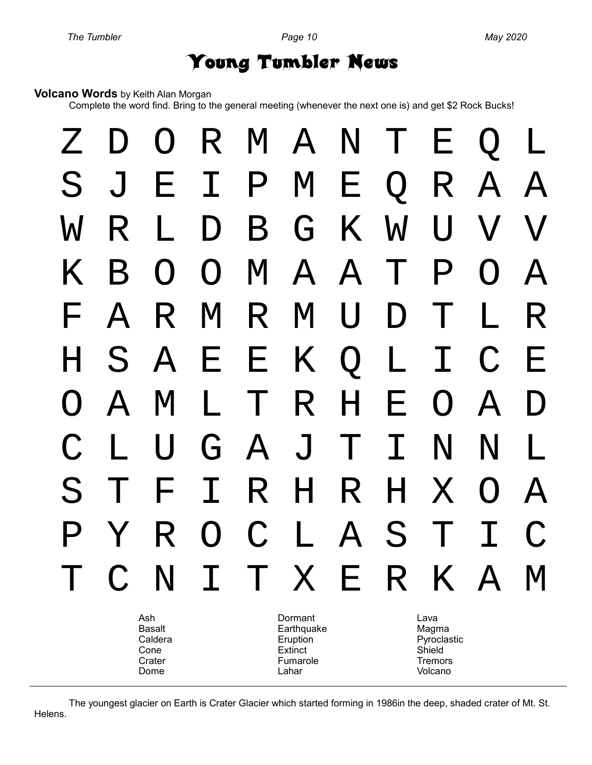# Young Tumbler News

#### **Volcano Words** by Keith Alan Morgan

Complete the word find. Bring to the general meeting (whenever the next one is) and get \$2 Rock Bucks!



The youngest glacier on Earth is Crater Glacier which started forming in 1986in the deep, shaded crater of Mt. St. Helens.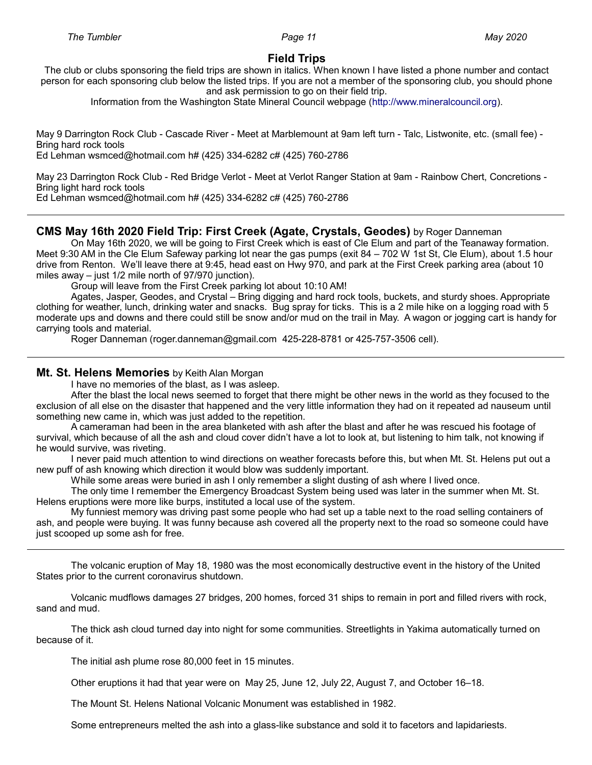#### **Field Trips**

The club or clubs sponsoring the field trips are shown in italics. When known I have listed a phone number and contact person for each sponsoring club below the listed trips. If you are not a member of the sponsoring club, you should phone and ask permission to go on their field trip.

Information from the Washington State Mineral Council webpage ([http://www.mineralcouncil.org\)](http://www.mineralcouncil.org/).

May 9 Darrington Rock Club - Cascade River - Meet at Marblemount at 9am left turn - Talc, Listwonite, etc. (small fee) - Bring hard rock tools

Ed Lehman wsmced@hotmail.com h# (425) 334-6282 c# (425) 760-2786

May 23 Darrington Rock Club - Red Bridge Verlot - Meet at Verlot Ranger Station at 9am - Rainbow Chert, Concretions - Bring light hard rock tools

Ed Lehman wsmced@hotmail.com h# (425) 334-6282 c# (425) 760-2786

#### **CMS May 16th 2020 Field Trip: First Creek (Agate, Crystals, Geodes)** by Roger Danneman

On May 16th 2020, we will be going to First Creek which is east of Cle Elum and part of the Teanaway formation. Meet 9:30 AM in the Cle Elum Safeway parking lot near the gas pumps (exit 84 – 702 W 1st St, Cle Elum), about 1.5 hour drive from Renton. We'll leave there at 9:45, head east on Hwy 970, and park at the First Creek parking area (about 10 miles away – just 1/2 mile north of 97/970 junction).

Group will leave from the First Creek parking lot about 10:10 AM!

Agates, Jasper, Geodes, and Crystal – Bring digging and hard rock tools, buckets, and sturdy shoes. Appropriate clothing for weather, lunch, drinking water and snacks. Bug spray for ticks. This is a 2 mile hike on a logging road with 5 moderate ups and downs and there could still be snow and/or mud on the trail in May. A wagon or jogging cart is handy for carrying tools and material.

Roger Danneman (roger.danneman@gmail.com 425-228-8781 or 425-757-3506 cell).

#### **Mt. St. Helens Memories** by Keith Alan Morgan

I have no memories of the blast, as I was asleep.

After the blast the local news seemed to forget that there might be other news in the world as they focused to the exclusion of all else on the disaster that happened and the very little information they had on it repeated ad nauseum until something new came in, which was just added to the repetition.

A cameraman had been in the area blanketed with ash after the blast and after he was rescued his footage of survival, which because of all the ash and cloud cover didn't have a lot to look at, but listening to him talk, not knowing if he would survive, was riveting.

I never paid much attention to wind directions on weather forecasts before this, but when Mt. St. Helens put out a new puff of ash knowing which direction it would blow was suddenly important.

While some areas were buried in ash I only remember a slight dusting of ash where I lived once.

The only time I remember the Emergency Broadcast System being used was later in the summer when Mt. St. Helens eruptions were more like burps, instituted a local use of the system.

My funniest memory was driving past some people who had set up a table next to the road selling containers of ash, and people were buying. It was funny because ash covered all the property next to the road so someone could have just scooped up some ash for free.

The volcanic eruption of May 18, 1980 was the most economically destructive event in the history of the United States prior to the current coronavirus shutdown.

Volcanic mudflows damages 27 bridges, 200 homes, forced 31 ships to remain in port and filled rivers with rock, sand and mud.

The thick ash cloud turned day into night for some communities. Streetlights in Yakima automatically turned on because of it.

The initial ash plume rose 80,000 feet in 15 minutes.

Other eruptions it had that year were on May 25, June 12, July 22, August 7, and October 16–18.

The Mount St. Helens National Volcanic Monument was established in 1982.

Some entrepreneurs melted the ash into a glass-like substance and sold it to facetors and lapidariests.